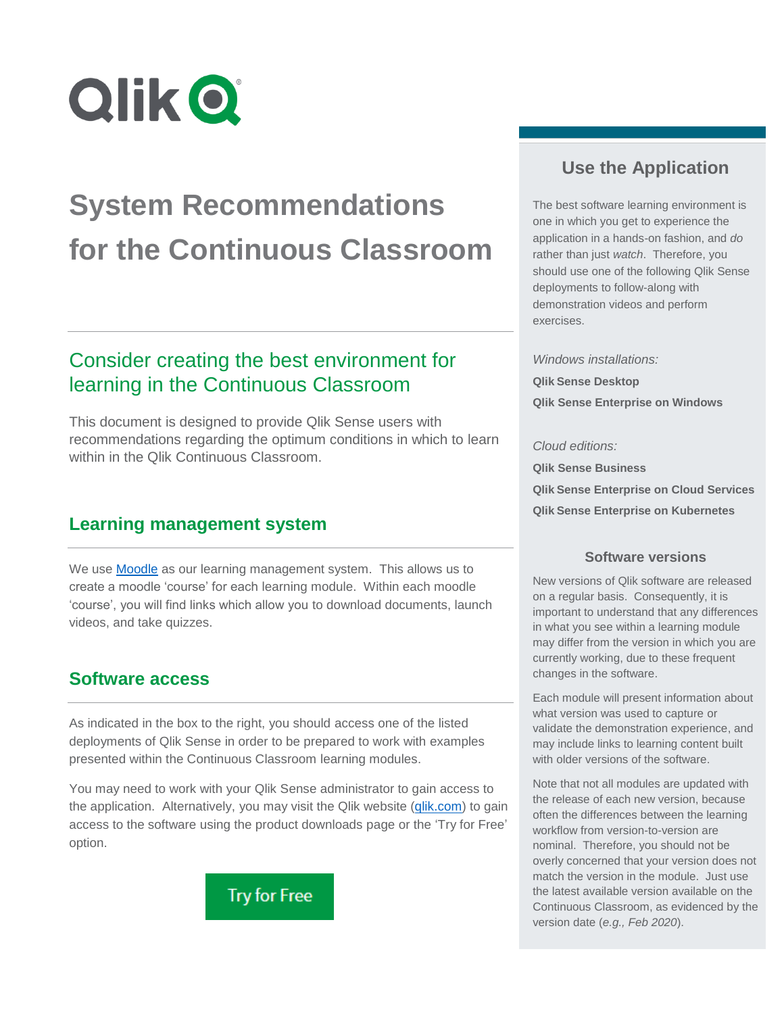

# **System Recommendations for the Continuous Classroom**

# Consider creating the best environment for learning in the Continuous Classroom

This document is designed to provide Qlik Sense users with recommendations regarding the optimum conditions in which to learn within in the Qlik Continuous Classroom.

## **Learning management system**

We use **Moodle** as our learning management system. This allows us to create a moodle 'course' for each learning module. Within each moodle 'course', you will find links which allow you to download documents, launch videos, and take quizzes.

## **Software access**

As indicated in the box to the right, you should access one of the listed deployments of Qlik Sense in order to be prepared to work with examples presented within the Continuous Classroom learning modules.

You may need to work with your Qlik Sense administrator to gain access to the application. Alternatively, you may visit the Qlik website [\(qlik.com\)](http://www.qlik.com/) to gain access to the software using the product downloads page or the 'Try for Free' option.



## **Use the Application**

The best software learning environment is one in which you get to experience the application in a hands-on fashion, and *do* rather than just *watch*. Therefore, you should use one of the following Qlik Sense deployments to follow-along with demonstration videos and perform exercises.

*Windows installations:*

**Qlik Sense Desktop Qlik Sense Enterprise on Windows**

#### *Cloud editions:*

**Qlik Sense Business Qlik Sense Enterprise on Cloud Services Qlik Sense Enterprise on Kubernetes**

#### **Software versions**

New versions of Qlik software are released on a regular basis. Consequently, it is important to understand that any differences in what you see within a learning module may differ from the version in which you are currently working, due to these frequent changes in the software.

Each module will present information about what version was used to capture or validate the demonstration experience, and may include links to learning content built with older versions of the software.

Note that not all modules are updated with the release of each new version, because often the differences between the learning workflow from version-to-version are nominal. Therefore, you should not be overly concerned that your version does not match the version in the module. Just use the latest available version available on the Continuous Classroom, as evidenced by the version date (*e.g., Feb 2020*).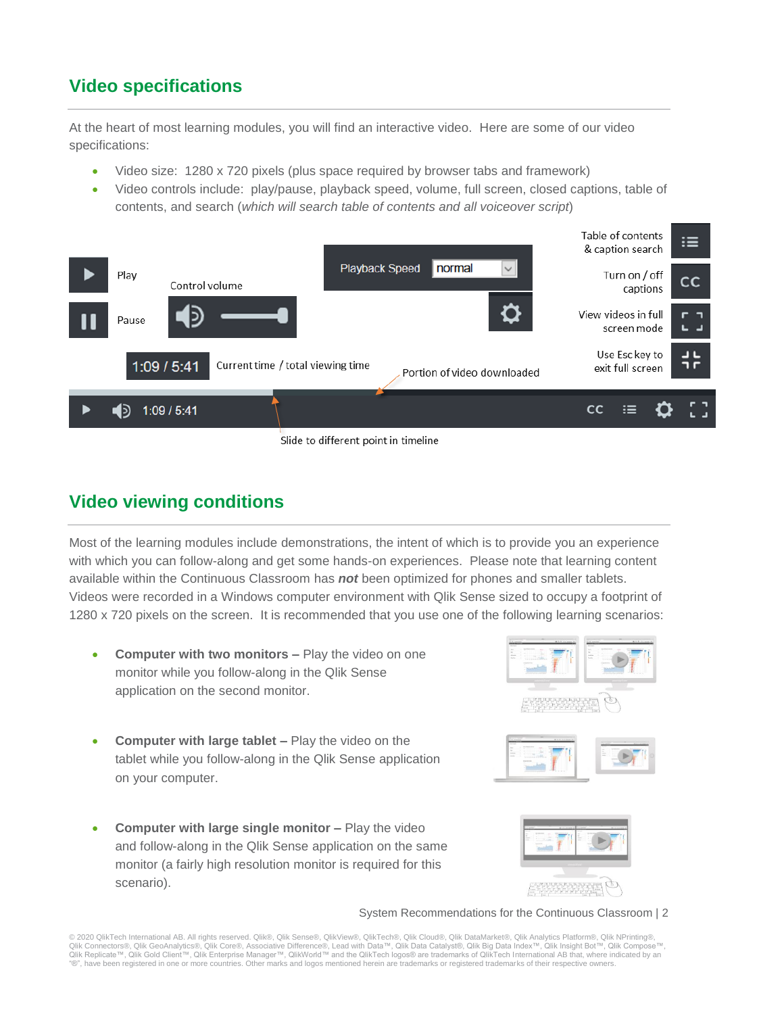## **Video specifications**

At the heart of most learning modules, you will find an interactive video. Here are some of our video specifications:

- Video size: 1280 x 720 pixels (plus space required by browser tabs and framework)
- Video controls include: play/pause, playback speed, volume, full screen, closed captions, table of contents, and search (*which will search table of contents and all voiceover script*)



Slide to different point in timeline

## **Video viewing conditions**

Most of the learning modules include demonstrations, the intent of which is to provide you an experience with which you can follow-along and get some hands-on experiences. Please note that learning content available within the Continuous Classroom has *not* been optimized for phones and smaller tablets. Videos were recorded in a Windows computer environment with Qlik Sense sized to occupy a footprint of 1280 x 720 pixels on the screen. It is recommended that you use one of the following learning scenarios:

- **Computer with two monitors –** Play the video on one monitor while you follow-along in the Qlik Sense application on the second monitor.
- **Computer with large tablet –** Play the video on the tablet while you follow-along in the Qlik Sense application on your computer.
- **Computer with large single monitor –** Play the video and follow-along in the Qlik Sense application on the same monitor (a fairly high resolution monitor is required for this scenario).







System Recommendations for the Continuous Classroom | 2

© 2020 QlikTech International AB. All rights reserved. Qlik®, Qlik Sense®, QlikView®, QlikTech®, Qlik Cloud®, Qlik DataMarket®, Qlik Analytics Platform®, Qlik NPrinting®, Qlik Connectors®, Qlik GeoAnalytics®, Qlik Core®, Associative Difference®, Lead with Data™, Qlik Data Catalyst®, Qlik Big Data Index™, Qlik Insight Bot™, Qlik Compose™,<br>Qlik Replicate™, Qlik Gold Client™, Qlik Enterprise "®", have been registered in one or more countries. Other marks and logos mentioned herein are trademarks or registered trademarks of their respective owners.